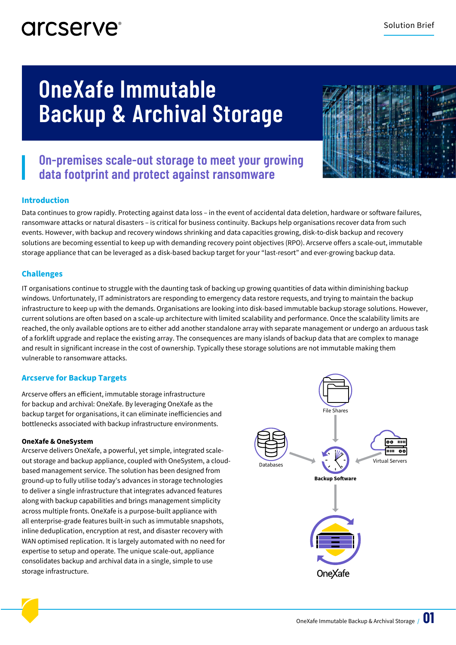### arcserve<sup>®</sup>

# **OneXafe Immutable Backup & Archival Storage**



### **On-premises scale-out storage to meet your growing data footprint and protect against ransomware**

### **Introduction**

Data continues to grow rapidly. Protecting against data loss – in the event of accidental data deletion, hardware or software failures, ransomware attacks or natural disasters – is critical for business continuity. Backups help organisations recover data from such events. However, with backup and recovery windows shrinking and data capacities growing, disk-to-disk backup and recovery solutions are becoming essential to keep up with demanding recovery point objectives (RPO). Arcserve offers a scale-out, immutable storage appliance that can be leveraged as a disk-based backup target for your "last-resort" and ever-growing backup data.

### **Challenges**

IT organisations continue to struggle with the daunting task of backing up growing quantities of data within diminishing backup windows. Unfortunately, IT administrators are responding to emergency data restore requests, and trying to maintain the backup infrastructure to keep up with the demands. Organisations are looking into disk-based immutable backup storage solutions. However, current solutions are often based on a scale-up architecture with limited scalability and performance. Once the scalability limits are reached, the only available options are to either add another standalone array with separate management or undergo an arduous task of a forklift upgrade and replace the existing array. The consequences are many islands of backup data that are complex to manage and result in significant increase in the cost of ownership. Typically these storage solutions are not immutable making them vulnerable to ransomware attacks.

### **Arcserve for Backup Targets**

Arcserve offers an efficient, immutable storage infrastructure for backup and archival: OneXafe. By leveraging OneXafe as the backup target for organisations, it can eliminate inefficiencies and bottlenecks associated with backup infrastructure environments.

#### **OneXafe & OneSystem**

Arcserve delivers OneXafe, a powerful, yet simple, integrated scaleout storage and backup appliance, coupled with OneSystem, a cloudbased management service. The solution has been designed from ground-up to fully utilise today's advances in storage technologies to deliver a single infrastructure that integrates advanced features along with backup capabilities and brings management simplicity across multiple fronts. OneXafe is a purpose-built appliance with all enterprise-grade features built-in such as immutable snapshots, inline deduplication, encryption at rest, and disaster recovery with WAN optimised replication. It is largely automated with no need for expertise to setup and operate. The unique scale-out, appliance consolidates backup and archival data in a single, simple to use storage infrastructure.